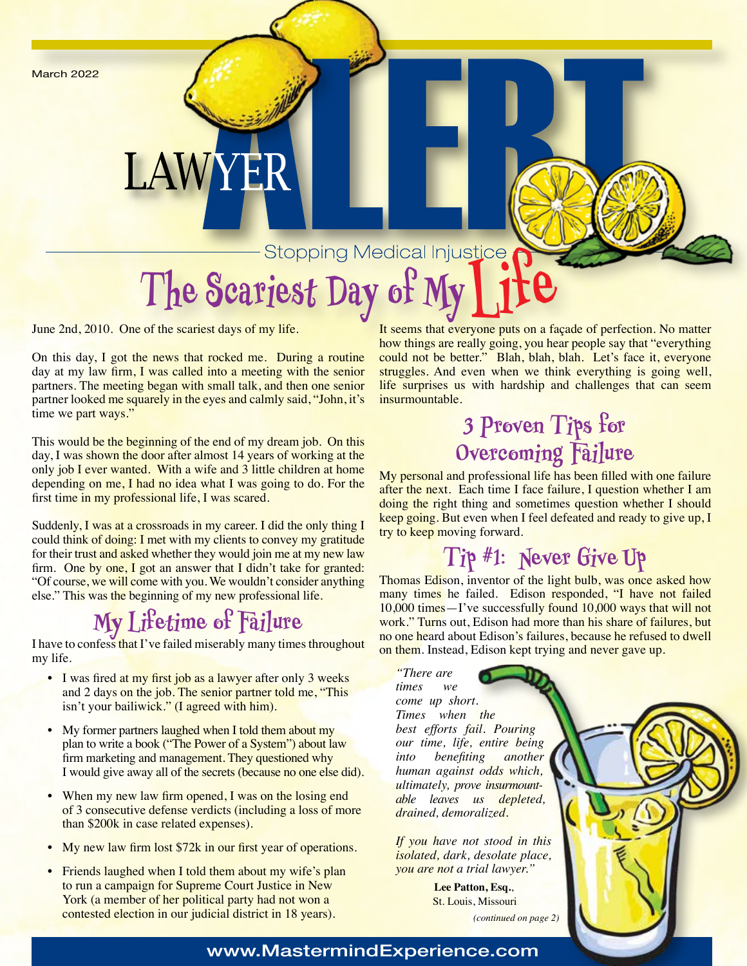March 2022

# The Scariest Day of **Life**

June 2nd, 2010. One of the scariest days of my life.

On this day, I got the news that rocked me. During a routine day at my law firm, I was called into a meeting with the senior partners. The meeting began with small talk, and then one senior partner looked me squarely in the eyes and calmly said, "John, it's time we part ways."

LAWYER

This would be the beginning of the end of my dream job. On this day, I was shown the door after almost 14 years of working at the only job I ever wanted. With a wife and 3 little children at home depending on me, I had no idea what I was going to do. For the first time in my professional life, I was scared.

Suddenly, I was at a crossroads in my career. I did the only thing I could think of doing: I met with my clients to convey my gratitude for their trust and asked whether they would join me at my new law firm. One by one, I got an answer that I didn't take for granted: "Of course, we will come with you. We wouldn't consider anything else." This was the beginning of my new professional life.

# **My Lifetime of Failure**

I have to confess that I've failed miserably many times throughout my life.

- I was fired at my first job as a lawyer after only 3 weeks and 2 days on the job. The senior partner told me, "This isn't your bailiwick." (I agreed with him).
- My former partners laughed when I told them about my plan to write a book ("The Power of a System") about law firm marketing and management. They questioned why I would give away all of the secrets (because no one else did).
- When my new law firm opened, I was on the losing end of 3 consecutive defense verdicts (including a loss of more than \$200k in case related expenses).
- My new law firm lost \$72k in our first year of operations.
- Friends laughed when I told them about my wife's plan to run a campaign for Supreme Court Justice in New York (a member of her political party had not won a contested election in our judicial district in 18 years).

It seems that everyone puts on a façade of perfection. No matter how things are really going, you hear people say that "everything could not be better." Blah, blah, blah. Let's face it, everyone struggles. And even when we think everything is going well, life surprises us with hardship and challenges that can seem insurmountable.

# **3 Proven Tips for Overcoming Failure**

My personal and professional life has been filled with one failure after the next. Each time I face failure, I question whether I am doing the right thing and sometimes question whether I should keep going. But even when I feel defeated and ready to give up, I try to keep moving forward.

# **Tip #1: Never Give Up**

Thomas Edison, inventor of the light bulb, was once asked how many times he failed. Edison responded, "I have not failed 10,000 times—I've successfully found 10,000 ways that will not work." Turns out, Edison had more than his share of failures, but no one heard about Edison's failures, because he refused to dwell on them. Instead, Edison kept trying and never gave up.

*"There are times we come up short. Times when the best efforts fail. Pouring our time, life, entire being into benefiting another human against odds which, ultimately, prove insurmountable leaves us depleted, drained, demoralized.* 

*If you have not stood in this isolated, dark, desolate place, you are not a trial lawyer."*

> **Lee Patton, Esq.**, St. Louis, Missouri *(continued on page 2)*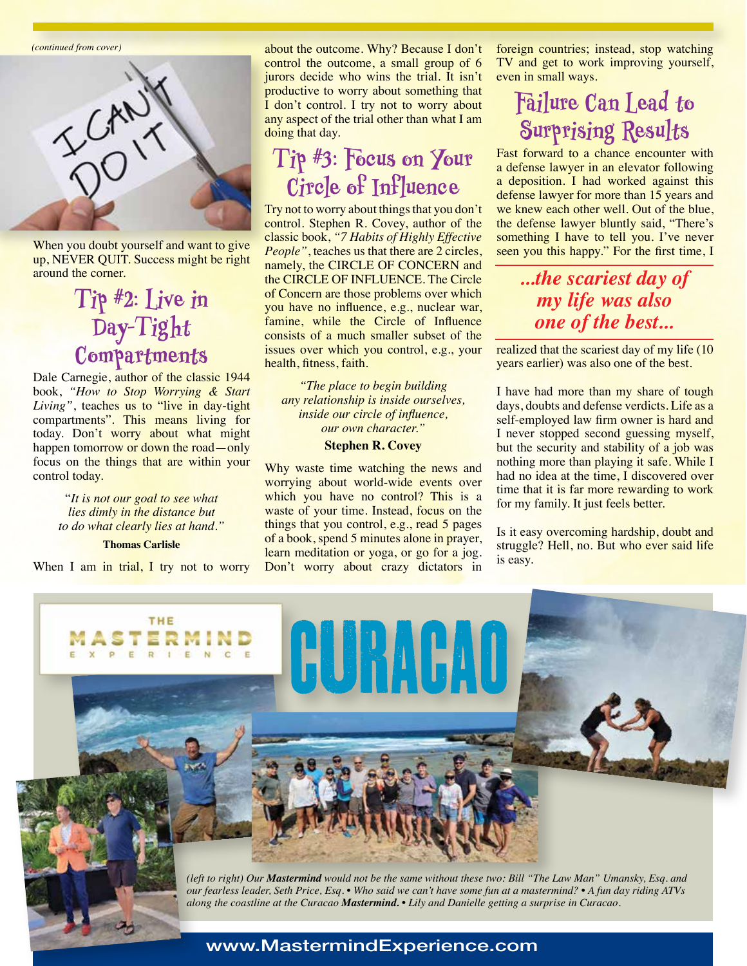



When you doubt yourself and want to give up, NEVER QUIT. Success might be right around the corner.

# **Tip #2: Live in Day-Tight Compartments**

Dale Carnegie, author of the classic 1944 book, *"How to Stop Worrying & Start Living"*, teaches us to "live in day-tight compartments". This means living for today. Don't worry about what might happen tomorrow or down the road—only focus on the things that are within your control today.

> "*It is not our goal to see what lies dimly in the distance but to do what clearly lies at hand."*

#### **Thomas Carlisle**

When I am in trial, I try not to worry

about the outcome. Why? Because I don't control the outcome, a small group of 6 jurors decide who wins the trial. It isn't productive to worry about something that I don't control. I try not to worry about any aspect of the trial other than what I am doing that day.

# **Tip #3: Focus on Your Circle of Influence**

Try not to worry about things that you don't control. Stephen R. Covey, author of the classic book, *"7 Habits of Highly Effective People"*, teaches us that there are 2 circles, namely, the CIRCLE OF CONCERN and the CIRCLE OF INFLUENCE. The Circle of Concern are those problems over which you have no influence, e.g., nuclear war, famine, while the Circle of Influence consists of a much smaller subset of the issues over which you control, e.g., your health, fitness, faith.

*"The place to begin building any relationship is inside ourselves, inside our circle of influence, our own character."*

#### **Stephen R. Covey**

Why waste time watching the news and worrying about world-wide events over which you have no control? This is a waste of your time. Instead, focus on the things that you control, e.g., read 5 pages of a book, spend 5 minutes alone in prayer, learn meditation or yoga, or go for a jog. Don't worry about crazy dictators in foreign countries; instead, stop watching TV and get to work improving yourself, even in small ways.

# **Failure Can Lead to Surprising Results**

Fast forward to a chance encounter with a defense lawyer in an elevator following a deposition. I had worked against this defense lawyer for more than 15 years and we knew each other well. Out of the blue, the defense lawyer bluntly said, "There's something I have to tell you. I've never seen you this happy." For the first time, I

# *...the scariest day of my life was also one of the best...*

realized that the scariest day of my life (10 years earlier) was also one of the best.

I have had more than my share of tough days, doubts and defense verdicts. Life as a self-employed law firm owner is hard and I never stopped second guessing myself, but the security and stability of a job was nothing more than playing it safe. While I had no idea at the time, I discovered over time that it is far more rewarding to work for my family. It just feels better.

Is it easy overcoming hardship, doubt and struggle? Hell, no. But who ever said life is easy.

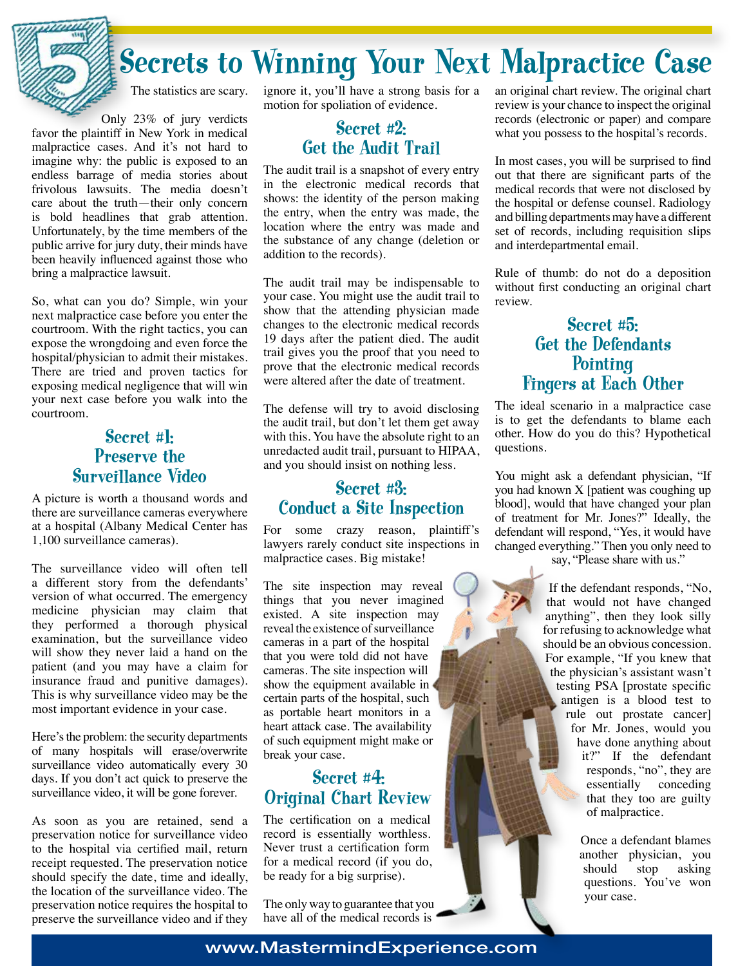

# Secrets to Winning Your Next Malpractice Case

The statistics are scary.

Only 23% of jury verdicts favor the plaintiff in New York in medical malpractice cases. And it's not hard to imagine why: the public is exposed to an endless barrage of media stories about frivolous lawsuits. The media doesn't care about the truth—their only concern is bold headlines that grab attention. Unfortunately, by the time members of the public arrive for jury duty, their minds have been heavily influenced against those who bring a malpractice lawsuit.

So, what can you do? Simple, win your next malpractice case before you enter the courtroom. With the right tactics, you can expose the wrongdoing and even force the hospital/physician to admit their mistakes. There are tried and proven tactics for exposing medical negligence that will win your next case before you walk into the courtroom.

## Secret #1: Preserve the Surveillance Video

A picture is worth a thousand words and there are surveillance cameras everywhere at a hospital (Albany Medical Center has 1,100 surveillance cameras).

The surveillance video will often tell a different story from the defendants' version of what occurred. The emergency medicine physician may claim that they performed a thorough physical examination, but the surveillance video will show they never laid a hand on the patient (and you may have a claim for insurance fraud and punitive damages). This is why surveillance video may be the most important evidence in your case.

Here's the problem: the security departments of many hospitals will erase/overwrite surveillance video automatically every 30 days. If you don't act quick to preserve the surveillance video, it will be gone forever.

As soon as you are retained, send a preservation notice for surveillance video to the hospital via certified mail, return receipt requested. The preservation notice should specify the date, time and ideally, the location of the surveillance video. The preservation notice requires the hospital to preserve the surveillance video and if they ignore it, you'll have a strong basis for a motion for spoliation of evidence.

# Secret #2: Get the Audit Trail

The audit trail is a snapshot of every entry in the electronic medical records that shows: the identity of the person making the entry, when the entry was made, the location where the entry was made and the substance of any change (deletion or addition to the records).

The audit trail may be indispensable to your case. You might use the audit trail to show that the attending physician made changes to the electronic medical records 19 days after the patient died. The audit trail gives you the proof that you need to prove that the electronic medical records were altered after the date of treatment.

The defense will try to avoid disclosing the audit trail, but don't let them get away with this. You have the absolute right to an unredacted audit trail, pursuant to HIPAA, and you should insist on nothing less.

## Secret #3: Conduct a Site Inspection

For some crazy reason, plaintiff's lawyers rarely conduct site inspections in malpractice cases. Big mistake!

The site inspection may reveal things that you never imagined existed. A site inspection may reveal the existence of surveillance cameras in a part of the hospital that you were told did not have cameras. The site inspection will show the equipment available in certain parts of the hospital, such as portable heart monitors in a heart attack case. The availability of such equipment might make or break your case.

## Secret #4: Original Chart Review

The certification on a medical record is essentially worthless. Never trust a certification form for a medical record (if you do, be ready for a big surprise).

The only way to guarantee that you have all of the medical records is  $\triangle$  an original chart review. The original chart review is your chance to inspect the original records (electronic or paper) and compare what you possess to the hospital's records.

In most cases, you will be surprised to find out that there are significant parts of the medical records that were not disclosed by the hospital or defense counsel. Radiology and billing departments may have a different set of records, including requisition slips and interdepartmental email.

Rule of thumb: do not do a deposition without first conducting an original chart review.

## Secret #5: Get the Defendants **Pointing** Fingers at Each Other

The ideal scenario in a malpractice case is to get the defendants to blame each other. How do you do this? Hypothetical questions.

You might ask a defendant physician, "If you had known X [patient was coughing up blood], would that have changed your plan of treatment for Mr. Jones?" Ideally, the defendant will respond, "Yes, it would have changed everything." Then you only need to

say, "Please share with us."

If the defendant responds, "No, that would not have changed anything", then they look silly for refusing to acknowledge what should be an obvious concession. For example, "If you knew that the physician's assistant wasn't testing PSA [prostate specific antigen is a blood test to rule out prostate cancer] for Mr. Jones, would you have done anything about it?" If the defendant responds, "no", they are essentially conceding that they too are guilty of malpractice.

> Once a defendant blames another physician, you should stop asking questions. You've won your case.